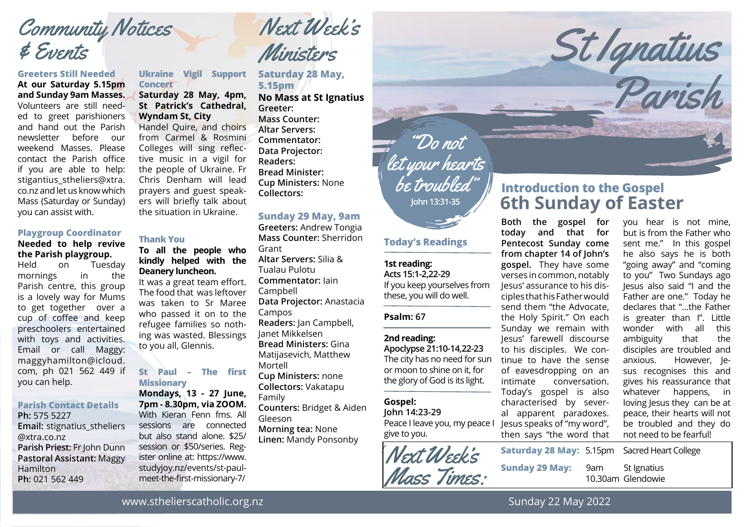# Community Notices & Events

#### **Greeters Still Needed**

**At our Saturday 5.15pm and Sunday 9am Masses.** Volunteers are still needed to greet parishioners and hand out the Parish newsletter before our weekend Masses. Please contact the Parish office if you are able to help: stigantius stheliers@xtra. co.nz and let us know which Mass (Saturday or Sunday) you can assist with.

### **Playgroup Coordinator**

#### **Needed to help revive the Parish playgroup.**

Held on Tuesday mornings in the Parish centre, this group is a lovely way for Mums to get together over a cup of coffee and keep preschoolers entertained with toys and activities. Email or call Maggy: maggyhamilton@icloud. com, ph 021 562 449 if you can help.

#### **Parish Contact Details Ph:** 575 5227

**Email:** stignatius\_stheliers @xtra.co.nz **Parish Priest:** Fr John Dunn **Pastoral Assistant:** Maggy Hamilton **Ph:** 021 562 449

**Ukraine Vigil Support Concert Saturday 28 May, 4pm, St Patrick's Cathedral, Wyndam St, City**

Handel Quire, and choirs from Carmel & Rosmini Colleges will sing reflective music in a vigil for the people of Ukraine. Fr Chris Denham will lead prayers and guest speakers will briefly talk about the situation in Ukraine.

#### **Thank You**

#### **To all the people who kindly helped with the Deanery luncheon.**

It was a great team effort. The food that was leftover was taken to Sr Maree who passed it on to the refugee families so nothing was wasted. Blessings to you all, Glennis.

#### **St Paul – The first Missionary**

**Mondays, 13 - 27 June, 7pm - 8.30pm, via ZOOM.** With Kieran Fenn fms. All sessions are connected but also stand alone. \$25/ session or \$50/series. Register online at: https://www. studyjoy.nz/events/st-paulmeet-the-first-missionary-7/

Next Week's Ministers

**Saturday 28 May, 5.15pm No Mass at St Ignatius Greeter: Mass Counter: Altar Servers: Commentator: Data Projector: Readers: Bread Minister:**

**Cup Ministers:** None **Collectors:**

#### **Sunday 29 May, 9am**

**Greeters:** Andrew Tongia **Mass Counter:** Sherridon Grant **Altar Servers:** Silia & Tualau Pulotu **Commentator:** Iain Campbell **Data Projector:** Anastacia Campos **Readers:** Jan Campbell, Janet Mikkelsen **Bread Ministers:** Gina Matijasevich, Matthew Mortell **Cup Ministers:** none **Collectors:** Vakatapu Family **Counters:** Bridget & Aiden Gleeson **Morning tea:** None **Linen:** Mandy Ponsonby

**John 13:31-35** "Do not let your hearts be troubled"

#### **Today's Readings**

#### **1st reading:**

**Acts 15:1-2,22-29** If you keep yourselves from these, you will do well.

#### **Psalm: 67**

#### **2nd reading:**

**Apoclypse 21:10-14,22-23** The city has no need for sun or moon to shine on it, for the glory of God is its light.

#### **Gospel:**

**John 14:23-29** Peace I leave you, my peace I give to you.

t Next Week's Mass Times:

## **6th Sunday of Easter Introduction to the Gospel**

St Ignatius

Parish

**Both the gospel for today and that for Pentecost Sunday come from chapter 14 of John's gospel.** They have some verses in common, notably Jesus' assurance to his disciples that his Father would send them "the Advocate, the Holy Spirit." On each Sunday we remain with Jesus' farewell discourse to his disciples. We continue to have the sense of eavesdropping on an intimate conversation. Today's gospel is also characterised by several apparent paradoxes. Jesus speaks of "my word", then says "the word that

you hear is not mine, but is from the Father who sent me." In this gospel he also says he is both "going away" and "coming to you" Two Sundays ago Jesus also said "I and the Father are one." Today he declares that "…the Father is greater than I". Little wonder with all this ambiguity that the disciples are troubled and anxious. However, Jesus recognises this and gives his reassurance that whatever happens, in loving Jesus they can be at peace, their hearts will not be troubled and they do not need to be fearful!

**Saturday 28 May:** 5.15pm Sacred Heart College **Sunday 29 May:** 9am St Ignatius 10.30am Glendowie

www.sthelierscatholic.org.nz

Sunday 22 May 2022